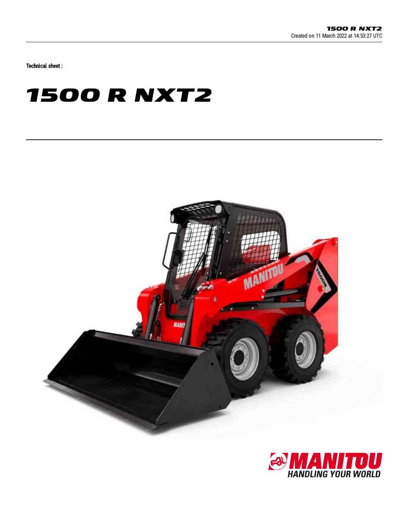Technical sheet :

## **1500 R NXT2**



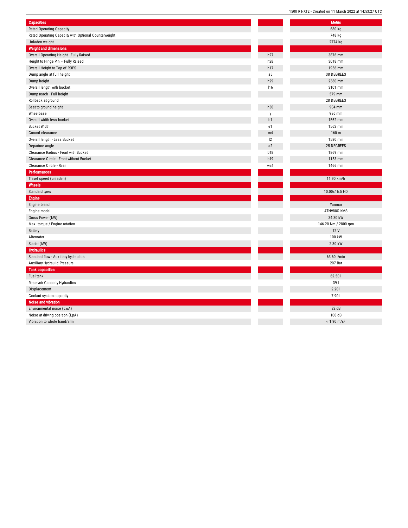| <b>Capacities</b>                                    |                | <b>Metric</b>             |
|------------------------------------------------------|----------------|---------------------------|
| <b>Rated Operating Capacity</b>                      |                | 680 kg                    |
| Rated Operating Capacity with Optional Counterweight |                | 748 kg                    |
| Unladen weight                                       |                | 2774 kg                   |
| <b>Weight and dimensions</b>                         |                |                           |
| Overall Operating Height - Fully Raised              | h27            | 3876 mm                   |
| Height to Hinge Pin - Fully Raised                   | h28            | 3018 mm                   |
| Overall Height to Top of ROPS                        | h17            | 1956 mm                   |
| Dump angle at full height                            | a <sub>5</sub> | 38 DEGREES                |
| Dump height                                          | h29            | 2380 mm                   |
| Overall length with bucket                           | 116            | 3101 mm                   |
| Dump reach - Full height                             |                | 579 mm                    |
| Rollback at ground                                   |                | 28 DEGREES                |
| Seat to ground height                                | h30            | 904 mm                    |
| Wheelbase                                            | y              | 986 mm                    |
| Overall width less bucket                            | b1             | 1562 mm                   |
| <b>Bucket Width</b>                                  | e1             | 1562 mm                   |
| Ground clearance                                     | m4             | 160 <sub>m</sub>          |
| Overall length - Less Bucket                         | 12             | 1580 mm                   |
| Departure angle                                      | a2             | 25 DEGREES                |
| Clearance Radius - Front with Bucket                 | <b>b18</b>     | 1869 mm                   |
| Clearance Circle - Front without Bucket              | <b>b19</b>     | 1153 mm                   |
| Clearance Circle - Rear                              | wa1            | 1466 mm                   |
| Performances                                         |                |                           |
| Travel speed (unladen)                               |                | 11.90 km/h                |
| Wheels                                               |                |                           |
| Standard tyres                                       |                | 10.00x16.5 HD             |
| Engine                                               |                |                           |
| Engine brand                                         |                | Yanmar                    |
| Engine model                                         |                | 4TNV88C-KMS               |
| Gross Power (kW)                                     |                | 34.30 kW                  |
| Max. torque / Engine rotation                        |                | 146.20 Nm / 2800 rpm      |
| Battery                                              |                | 12 V                      |
| Alternator                                           |                | 100 kW                    |
| Starter (kW)                                         |                | 2.30 kW                   |
| <b>Hydraulics</b>                                    |                |                           |
| Standard flow - Auxiliary hydraulics                 |                | 63.60 l/min               |
| Auxiliary Hydraulic Pressure                         |                | 207 Bar                   |
| <b>Tank capacities</b>                               |                |                           |
| Fuel tank                                            |                | 62.50 l                   |
| <b>Reservoir Capacity Hydraulics</b>                 |                | 391                       |
| Displacement                                         |                | 2.201                     |
| Coolant system capacity                              |                | 7.901                     |
| Noise and vibration                                  |                |                           |
| Environmental noise (LwA)                            |                | 82 dB                     |
| Noise at driving position (LpA)                      |                | 100 dB                    |
| Vibration to whole hand/arm                          |                | $< 1.90$ m/s <sup>2</sup> |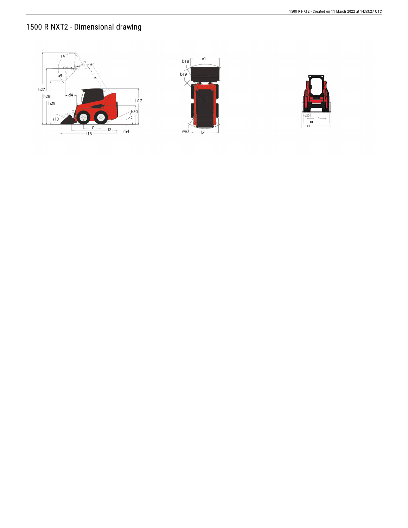